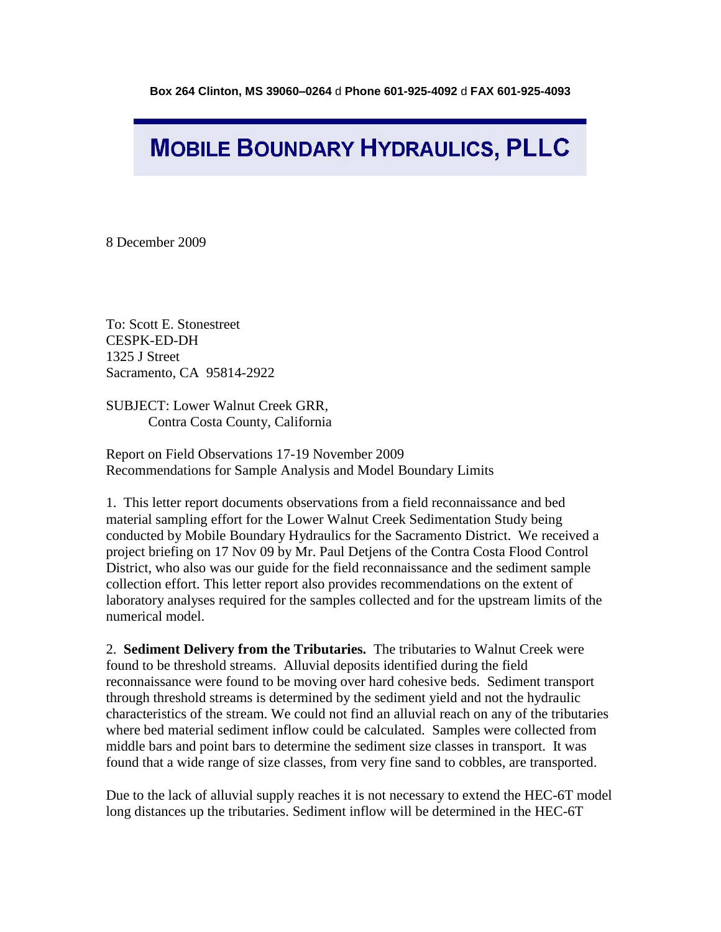## **MOBILE BOUNDARY HYDRAULICS, PLLC**

8 December 2009

To: Scott E. Stonestreet CESPK-ED-DH 1325 J Street Sacramento, CA 95814-2922

SUBJECT: Lower Walnut Creek GRR, Contra Costa County, California

Report on Field Observations 17-19 November 2009 Recommendations for Sample Analysis and Model Boundary Limits

1. This letter report documents observations from a field reconnaissance and bed material sampling effort for the Lower Walnut Creek Sedimentation Study being conducted by Mobile Boundary Hydraulics for the Sacramento District. We received a project briefing on 17 Nov 09 by Mr. Paul Detjens of the Contra Costa Flood Control District, who also was our guide for the field reconnaissance and the sediment sample collection effort. This letter report also provides recommendations on the extent of laboratory analyses required for the samples collected and for the upstream limits of the numerical model.

2. **Sediment Delivery from the Tributaries.** The tributaries to Walnut Creek were found to be threshold streams. Alluvial deposits identified during the field reconnaissance were found to be moving over hard cohesive beds. Sediment transport through threshold streams is determined by the sediment yield and not the hydraulic characteristics of the stream. We could not find an alluvial reach on any of the tributaries where bed material sediment inflow could be calculated. Samples were collected from middle bars and point bars to determine the sediment size classes in transport. It was found that a wide range of size classes, from very fine sand to cobbles, are transported.

Due to the lack of alluvial supply reaches it is not necessary to extend the HEC-6T model long distances up the tributaries. Sediment inflow will be determined in the HEC-6T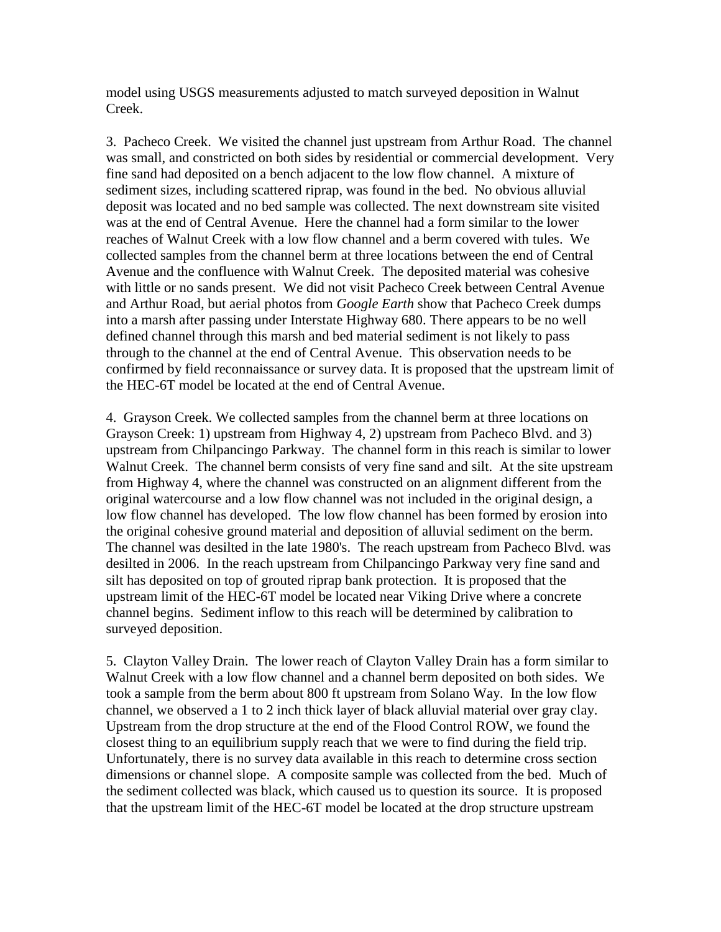model using USGS measurements adjusted to match surveyed deposition in Walnut Creek.

3. Pacheco Creek. We visited the channel just upstream from Arthur Road. The channel was small, and constricted on both sides by residential or commercial development. Very fine sand had deposited on a bench adjacent to the low flow channel. A mixture of sediment sizes, including scattered riprap, was found in the bed. No obvious alluvial deposit was located and no bed sample was collected. The next downstream site visited was at the end of Central Avenue. Here the channel had a form similar to the lower reaches of Walnut Creek with a low flow channel and a berm covered with tules. We collected samples from the channel berm at three locations between the end of Central Avenue and the confluence with Walnut Creek. The deposited material was cohesive with little or no sands present. We did not visit Pacheco Creek between Central Avenue and Arthur Road, but aerial photos from *Google Earth* show that Pacheco Creek dumps into a marsh after passing under Interstate Highway 680. There appears to be no well defined channel through this marsh and bed material sediment is not likely to pass through to the channel at the end of Central Avenue. This observation needs to be confirmed by field reconnaissance or survey data. It is proposed that the upstream limit of the HEC-6T model be located at the end of Central Avenue.

4. Grayson Creek. We collected samples from the channel berm at three locations on Grayson Creek: 1) upstream from Highway 4, 2) upstream from Pacheco Blvd. and 3) upstream from Chilpancingo Parkway. The channel form in this reach is similar to lower Walnut Creek. The channel berm consists of very fine sand and silt. At the site upstream from Highway 4, where the channel was constructed on an alignment different from the original watercourse and a low flow channel was not included in the original design, a low flow channel has developed. The low flow channel has been formed by erosion into the original cohesive ground material and deposition of alluvial sediment on the berm. The channel was desilted in the late 1980's. The reach upstream from Pacheco Blvd. was desilted in 2006. In the reach upstream from Chilpancingo Parkway very fine sand and silt has deposited on top of grouted riprap bank protection. It is proposed that the upstream limit of the HEC-6T model be located near Viking Drive where a concrete channel begins. Sediment inflow to this reach will be determined by calibration to surveyed deposition.

5. Clayton Valley Drain. The lower reach of Clayton Valley Drain has a form similar to Walnut Creek with a low flow channel and a channel berm deposited on both sides. We took a sample from the berm about 800 ft upstream from Solano Way. In the low flow channel, we observed a 1 to 2 inch thick layer of black alluvial material over gray clay. Upstream from the drop structure at the end of the Flood Control ROW, we found the closest thing to an equilibrium supply reach that we were to find during the field trip. Unfortunately, there is no survey data available in this reach to determine cross section dimensions or channel slope. A composite sample was collected from the bed. Much of the sediment collected was black, which caused us to question its source. It is proposed that the upstream limit of the HEC-6T model be located at the drop structure upstream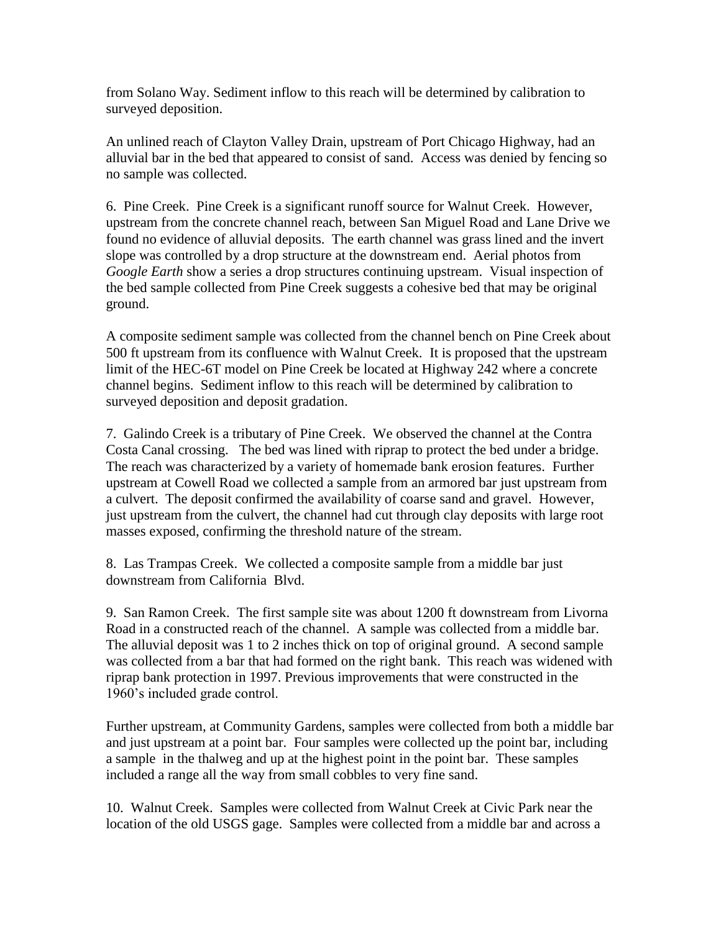from Solano Way. Sediment inflow to this reach will be determined by calibration to surveyed deposition.

An unlined reach of Clayton Valley Drain, upstream of Port Chicago Highway, had an alluvial bar in the bed that appeared to consist of sand. Access was denied by fencing so no sample was collected.

6. Pine Creek. Pine Creek is a significant runoff source for Walnut Creek. However, upstream from the concrete channel reach, between San Miguel Road and Lane Drive we found no evidence of alluvial deposits. The earth channel was grass lined and the invert slope was controlled by a drop structure at the downstream end. Aerial photos from *Google Earth* show a series a drop structures continuing upstream. Visual inspection of the bed sample collected from Pine Creek suggests a cohesive bed that may be original ground.

A composite sediment sample was collected from the channel bench on Pine Creek about 500 ft upstream from its confluence with Walnut Creek. It is proposed that the upstream limit of the HEC-6T model on Pine Creek be located at Highway 242 where a concrete channel begins. Sediment inflow to this reach will be determined by calibration to surveyed deposition and deposit gradation.

7. Galindo Creek is a tributary of Pine Creek. We observed the channel at the Contra Costa Canal crossing. The bed was lined with riprap to protect the bed under a bridge. The reach was characterized by a variety of homemade bank erosion features. Further upstream at Cowell Road we collected a sample from an armored bar just upstream from a culvert. The deposit confirmed the availability of coarse sand and gravel. However, just upstream from the culvert, the channel had cut through clay deposits with large root masses exposed, confirming the threshold nature of the stream.

8. Las Trampas Creek. We collected a composite sample from a middle bar just downstream from California Blvd.

9. San Ramon Creek. The first sample site was about 1200 ft downstream from Livorna Road in a constructed reach of the channel. A sample was collected from a middle bar. The alluvial deposit was 1 to 2 inches thick on top of original ground. A second sample was collected from a bar that had formed on the right bank. This reach was widened with riprap bank protection in 1997. Previous improvements that were constructed in the 1960's included grade control.

Further upstream, at Community Gardens, samples were collected from both a middle bar and just upstream at a point bar. Four samples were collected up the point bar, including a sample in the thalweg and up at the highest point in the point bar. These samples included a range all the way from small cobbles to very fine sand.

10. Walnut Creek. Samples were collected from Walnut Creek at Civic Park near the location of the old USGS gage. Samples were collected from a middle bar and across a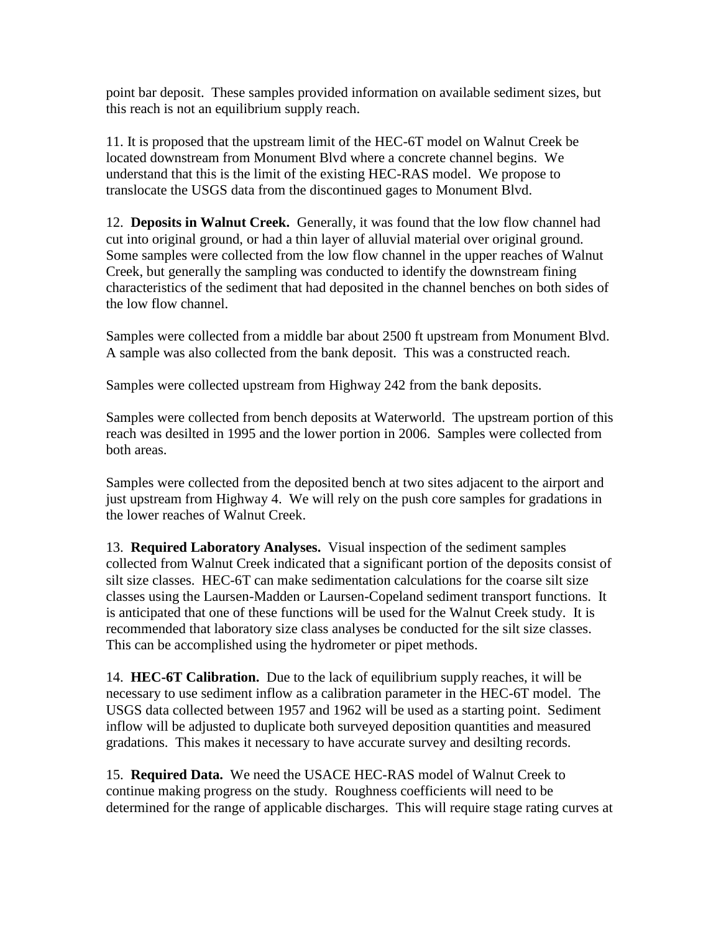point bar deposit. These samples provided information on available sediment sizes, but this reach is not an equilibrium supply reach.

11. It is proposed that the upstream limit of the HEC-6T model on Walnut Creek be located downstream from Monument Blvd where a concrete channel begins. We understand that this is the limit of the existing HEC-RAS model. We propose to translocate the USGS data from the discontinued gages to Monument Blvd.

12. **Deposits in Walnut Creek.** Generally, it was found that the low flow channel had cut into original ground, or had a thin layer of alluvial material over original ground. Some samples were collected from the low flow channel in the upper reaches of Walnut Creek, but generally the sampling was conducted to identify the downstream fining characteristics of the sediment that had deposited in the channel benches on both sides of the low flow channel.

Samples were collected from a middle bar about 2500 ft upstream from Monument Blvd. A sample was also collected from the bank deposit. This was a constructed reach.

Samples were collected upstream from Highway 242 from the bank deposits.

Samples were collected from bench deposits at Waterworld. The upstream portion of this reach was desilted in 1995 and the lower portion in 2006. Samples were collected from both areas.

Samples were collected from the deposited bench at two sites adjacent to the airport and just upstream from Highway 4. We will rely on the push core samples for gradations in the lower reaches of Walnut Creek.

13. **Required Laboratory Analyses.** Visual inspection of the sediment samples collected from Walnut Creek indicated that a significant portion of the deposits consist of silt size classes. HEC-6T can make sedimentation calculations for the coarse silt size classes using the Laursen-Madden or Laursen-Copeland sediment transport functions. It is anticipated that one of these functions will be used for the Walnut Creek study. It is recommended that laboratory size class analyses be conducted for the silt size classes. This can be accomplished using the hydrometer or pipet methods.

14. **HEC-6T Calibration.** Due to the lack of equilibrium supply reaches, it will be necessary to use sediment inflow as a calibration parameter in the HEC-6T model. The USGS data collected between 1957 and 1962 will be used as a starting point. Sediment inflow will be adjusted to duplicate both surveyed deposition quantities and measured gradations. This makes it necessary to have accurate survey and desilting records.

15. **Required Data.** We need the USACE HEC-RAS model of Walnut Creek to continue making progress on the study. Roughness coefficients will need to be determined for the range of applicable discharges. This will require stage rating curves at